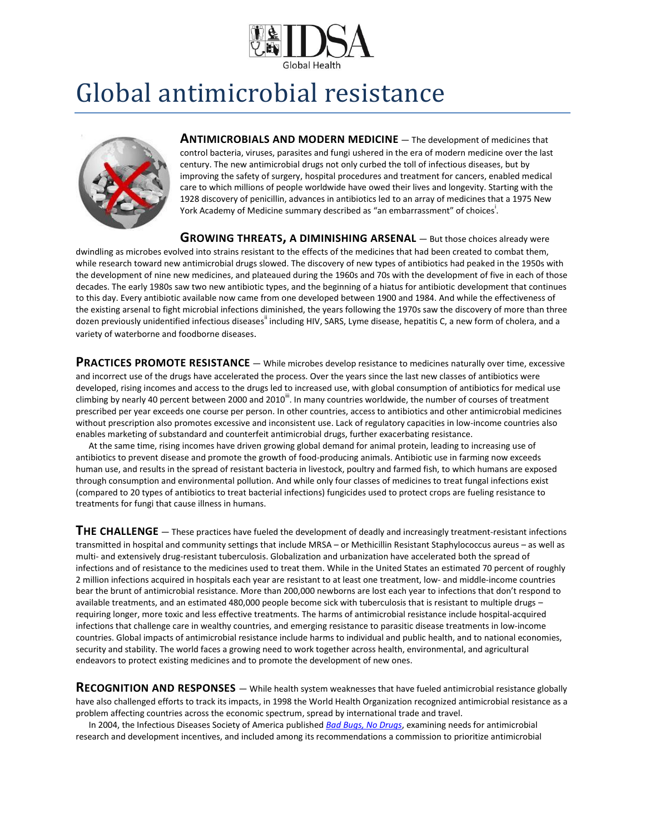

## Global antimicrobial resistance



**ANTIMICROBIALS AND MODERN MEDICINE** — The development of medicines that control bacteria, viruses, parasites and fungi ushered in the era of modern medicine over the last century. The new antimicrobial drugs not only curbed the toll of infectious diseases, but by improving the safety of surgery, hospital procedures and treatment for cancers, enabled medical care to which millions of people worldwide have owed their lives and longevity. Starting with the 1928 discovery of penicillin, advances in antibiotics led to an array of medicines that a 1975 New York Academy of Medicine summary described as "an embarrassment" of choices<sup>i</sup>.

**GROWING THREATS, A DIMINISHING ARSENAL** — But those choices already were

dwindling as microbes evolved into strains resistant to the effects of the medicines that had been created to combat them, while research toward new antimicrobial drugs slowed. The discovery of new types of antibiotics had peaked in the 1950s with the development of nine new medicines, and plateaued during the 1960s and 70s with the development of five in each of those decades. The early 1980s saw two new antibiotic types, and the beginning of a hiatus for antibiotic development that continues to this day. Every antibiotic available now came from one developed between 1900 and 1984. And while the effectiveness of the existing arsenal to fight microbial infections diminished, the years following the 1970s saw the discovery of more than three dozen previously unidentified infectious diseases" including HIV, SARS, Lyme disease, hepatitis C, a new form of cholera, and a variety of waterborne and foodborne diseases.

**PRACTICES PROMOTE RESISTANCE** — While microbes develop resistance to medicines naturally over time, excessive and incorrect use of the drugs have accelerated the process. Over the years since the last new classes of antibiotics were developed, rising incomes and access to the drugs led to increased use, with global consumption of antibiotics for medical use climbing by nearly 40 percent between 2000 and 2010<sup>""</sup>. In many countries worldwide, the number of courses of treatment prescribed per year exceeds one course per person. In other countries, access to antibiotics and other antimicrobial medicines without prescription also promotes excessive and inconsistent use. Lack of regulatory capacities in low-income countries also enables marketing of substandard and counterfeit antimicrobial drugs, further exacerbating resistance.

 At the same time, rising incomes have driven growing global demand for animal protein, leading to increasing use of antibiotics to prevent disease and promote the growth of food-producing animals. Antibiotic use in farming now exceeds human use, and results in the spread of resistant bacteria in livestock, poultry and farmed fish, to which humans are exposed through consumption and environmental pollution. And while only four classes of medicines to treat fungal infections exist (compared to 20 types of antibiotics to treat bacterial infections) fungicides used to protect crops are fueling resistance to treatments for fungi that cause illness in humans.

**THE CHALLENGE** — These practices have fueled the development of deadly and increasingly treatment-resistant infections transmitted in hospital and community settings that include MRSA – or Methicillin Resistant Staphylococcus aureus – as well as multi- and extensively drug-resistant tuberculosis. Globalization and urbanization have accelerated both the spread of infections and of resistance to the medicines used to treat them. While in the United States an estimated 70 percent of roughly 2 million infections acquired in hospitals each year are resistant to at least one treatment, low- and middle-income countries bear the brunt of antimicrobial resistance. More than 200,000 newborns are lost each year to infections that don't respond to available treatments, and an estimated 480,000 people become sick with tuberculosis that is resistant to multiple drugs – requiring longer, more toxic and less effective treatments. The harms of antimicrobial resistance include hospital-acquired infections that challenge care in wealthy countries, and emerging resistance to parasitic disease treatments in low-income countries. Global impacts of antimicrobial resistance include harms to individual and public health, and to national economies, security and stability. The world faces a growing need to work together across health, environmental, and agricultural endeavors to protect existing medicines and to promote the development of new ones.

**RECOGNITION AND RESPONSES** — While health system weaknesses that have fueled antimicrobial resistance globally have also challenged efforts to track its impacts, in 1998 the World Health Organization recognized antimicrobial resistance as a problem affecting countries across the economic spectrum, spread by international trade and travel.

 In 2004, the Infectious Diseases Society of America published *[Bad Bugs, No Drugs](https://www.idsociety.org/uploadedFiles/IDSA/Policy_and_Advocacy/Current_Topics_and_Issues/Advancing_Product_Research_and_Development/Bad_Bugs_No_Drugs/Statements/As%20Antibiotic%20Discovery%20Stagnates%20A%20Public%20Health%20Crisis%20Brews.pdf)*, examining needs for antimicrobial research and development incentives, and included among its recommendations a commission to prioritize antimicrobial